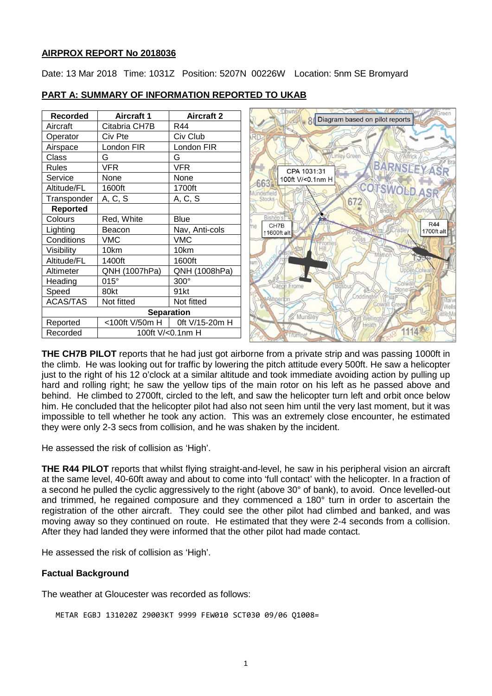#### **AIRPROX REPORT No 2018036**

Date: 13 Mar 2018 Time: 1031Z Position: 5207N 00226W Location: 5nm SE Bromyard

| <b>Recorded</b>              | <b>Aircraft 1</b> | <b>Aircraft 2</b> | Altricial<br>Diagram based on pilot reports             |
|------------------------------|-------------------|-------------------|---------------------------------------------------------|
| Aircraft                     | Citabria CH7B     | R44               |                                                         |
| Operator                     | Civ Pte           | Civ Club          |                                                         |
| Airspace                     | London FIR        | London FIR        |                                                         |
| Class                        | G                 | G                 | inley Green                                             |
| <b>Rules</b>                 | <b>VFR</b>        | <b>VFR</b>        | BARNSLEYASR<br>CPA 1031:31                              |
| Service                      | None              | None              | 100ft V/<0.1nm H<br>663                                 |
| Altitude/FL                  | 1600ft            | 1700ft            | <b>COTSWOLD ASR</b><br><i><u><b>Aunderfield</b></u></i> |
| Transponder                  | A, C, S           | A, C, S           | Stocks-<br>672                                          |
| <b>Reported</b>              |                   |                   |                                                         |
| Colours                      | Red, White        | <b>Blue</b>       | Rishon<br>. T.<br><b>R44</b>                            |
| Lighting                     | Beacon            | Nav, Anti-cols    | CH7B<br>radley<br>1700ft alt<br>↑1600ft alt             |
| Conditions                   | <b>VMC</b>        | <b>VMC</b>        |                                                         |
| Visibility                   | 10km              | 10km              | Mäthor                                                  |
| Altitude/FL                  | 1400ft            | 1600ft            | <b>SAN</b>                                              |
| Altimeter                    | QNH (1007hPa)     | QNH (1008hPa)     | <b>Jpper Colwal</b>                                     |
| Heading                      | $015^\circ$       | 300°              | Canon Frome                                             |
| Speed                        | 80kt              | 91kt              |                                                         |
| <b>ACAS/TAS</b>              | Not fitted        | Not fitted        | Ashperton<br>Malv<br>Colwall<br>Wells                   |
| <b>Separation</b>            |                   |                   | Munsley<br>Welling                                      |
| Reported                     | <100ft V/50m H    | 0ft V/15-20m H    | Heath                                                   |
| Recorded<br>100ft V/<0.1nm H |                   |                   | 1114米<br>rumpe                                          |

#### **PART A: SUMMARY OF INFORMATION REPORTED TO UKAB**

**THE CH7B PILOT** reports that he had just got airborne from a private strip and was passing 1000ft in the climb. He was looking out for traffic by lowering the pitch attitude every 500ft. He saw a helicopter just to the right of his 12 o'clock at a similar altitude and took immediate avoiding action by pulling up hard and rolling right; he saw the yellow tips of the main rotor on his left as he passed above and behind. He climbed to 2700ft, circled to the left, and saw the helicopter turn left and orbit once below him. He concluded that the helicopter pilot had also not seen him until the very last moment, but it was impossible to tell whether he took any action. This was an extremely close encounter, he estimated they were only 2-3 secs from collision, and he was shaken by the incident.

He assessed the risk of collision as 'High'.

**THE R44 PILOT** reports that whilst flying straight-and-level, he saw in his peripheral vision an aircraft at the same level, 40-60ft away and about to come into 'full contact' with the helicopter. In a fraction of a second he pulled the cyclic aggressively to the right (above 30° of bank), to avoid. Once levelled-out and trimmed, he regained composure and they commenced a 180° turn in order to ascertain the registration of the other aircraft. They could see the other pilot had climbed and banked, and was moving away so they continued on route. He estimated that they were 2-4 seconds from a collision. After they had landed they were informed that the other pilot had made contact.

He assessed the risk of collision as 'High'.

# **Factual Background**

The weather at Gloucester was recorded as follows:

```
METAR EGBJ 131020Z 29003KT 9999 FEW010 SCT030 09/06 Q1008=
```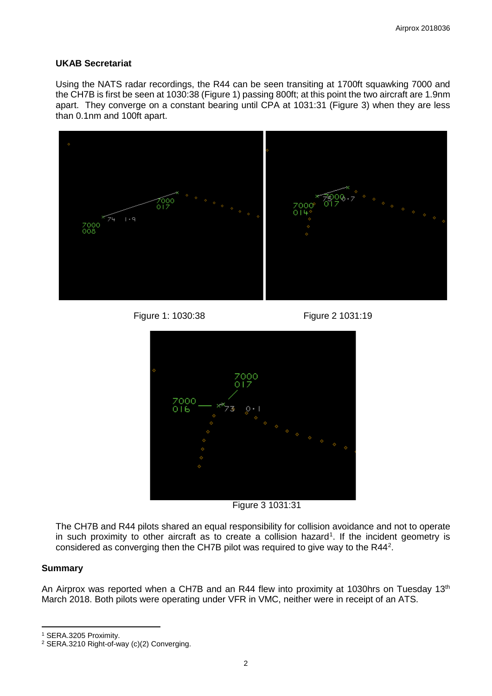#### **UKAB Secretariat**

Using the NATS radar recordings, the R44 can be seen transiting at 1700ft squawking 7000 and the CH7B is first be seen at 1030:38 (Figure 1) passing 800ft; at this point the two aircraft are 1.9nm apart. They converge on a constant bearing until CPA at 1031:31 (Figure 3) when they are less than 0.1nm and 100ft apart.



Figure 1: 1030:38 Figure 2 1031:19



Figure 3 1031:31

The CH7B and R44 pilots shared an equal responsibility for collision avoidance and not to operate in such proximity to other aircraft as to create a collision hazard<sup>[1](#page-1-0)</sup>. If the incident geometry is considered as converging then the CH7B pilot was required to give way to the R44<sup>[2](#page-1-1)</sup>.

# **Summary**

l

An Airprox was reported when a CH7B and an R44 flew into proximity at 1030hrs on Tuesday 13<sup>th</sup> March 2018. Both pilots were operating under VFR in VMC, neither were in receipt of an ATS.

<span id="page-1-0"></span><sup>1</sup> SERA.3205 Proximity.

<span id="page-1-1"></span><sup>2</sup> SERA.3210 Right-of-way (c)(2) Converging.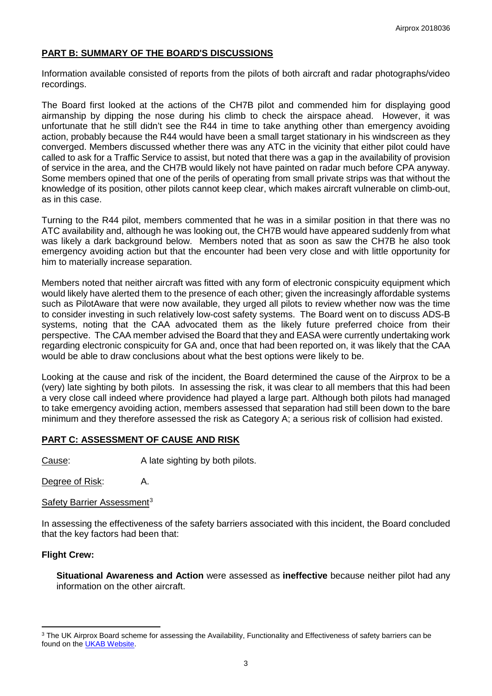# **PART B: SUMMARY OF THE BOARD'S DISCUSSIONS**

Information available consisted of reports from the pilots of both aircraft and radar photographs/video recordings.

The Board first looked at the actions of the CH7B pilot and commended him for displaying good airmanship by dipping the nose during his climb to check the airspace ahead. However, it was unfortunate that he still didn't see the R44 in time to take anything other than emergency avoiding action, probably because the R44 would have been a small target stationary in his windscreen as they converged. Members discussed whether there was any ATC in the vicinity that either pilot could have called to ask for a Traffic Service to assist, but noted that there was a gap in the availability of provision of service in the area, and the CH7B would likely not have painted on radar much before CPA anyway. Some members opined that one of the perils of operating from small private strips was that without the knowledge of its position, other pilots cannot keep clear, which makes aircraft vulnerable on climb-out, as in this case.

Turning to the R44 pilot, members commented that he was in a similar position in that there was no ATC availability and, although he was looking out, the CH7B would have appeared suddenly from what was likely a dark background below. Members noted that as soon as saw the CH7B he also took emergency avoiding action but that the encounter had been very close and with little opportunity for him to materially increase separation.

Members noted that neither aircraft was fitted with any form of electronic conspicuity equipment which would likely have alerted them to the presence of each other; given the increasingly affordable systems such as PilotAware that were now available, they urged all pilots to review whether now was the time to consider investing in such relatively low-cost safety systems. The Board went on to discuss ADS-B systems, noting that the CAA advocated them as the likely future preferred choice from their perspective. The CAA member advised the Board that they and EASA were currently undertaking work regarding electronic conspicuity for GA and, once that had been reported on, it was likely that the CAA would be able to draw conclusions about what the best options were likely to be.

Looking at the cause and risk of the incident, the Board determined the cause of the Airprox to be a (very) late sighting by both pilots. In assessing the risk, it was clear to all members that this had been a very close call indeed where providence had played a large part. Although both pilots had managed to take emergency avoiding action, members assessed that separation had still been down to the bare minimum and they therefore assessed the risk as Category A; a serious risk of collision had existed.

# **PART C: ASSESSMENT OF CAUSE AND RISK**

Cause: A late sighting by both pilots.

Degree of Risk: A.

Safety Barrier Assessment<sup>[3](#page-2-0)</sup>

In assessing the effectiveness of the safety barriers associated with this incident, the Board concluded that the key factors had been that:

#### **Flight Crew:**

l

**Situational Awareness and Action** were assessed as **ineffective** because neither pilot had any information on the other aircraft.

<span id="page-2-0"></span><sup>&</sup>lt;sup>3</sup> The UK Airprox Board scheme for assessing the Availability, Functionality and Effectiveness of safety barriers can be found on the [UKAB Website.](http://www.airproxboard.org.uk/Learn-more/Airprox-Barrier-Assessment/)